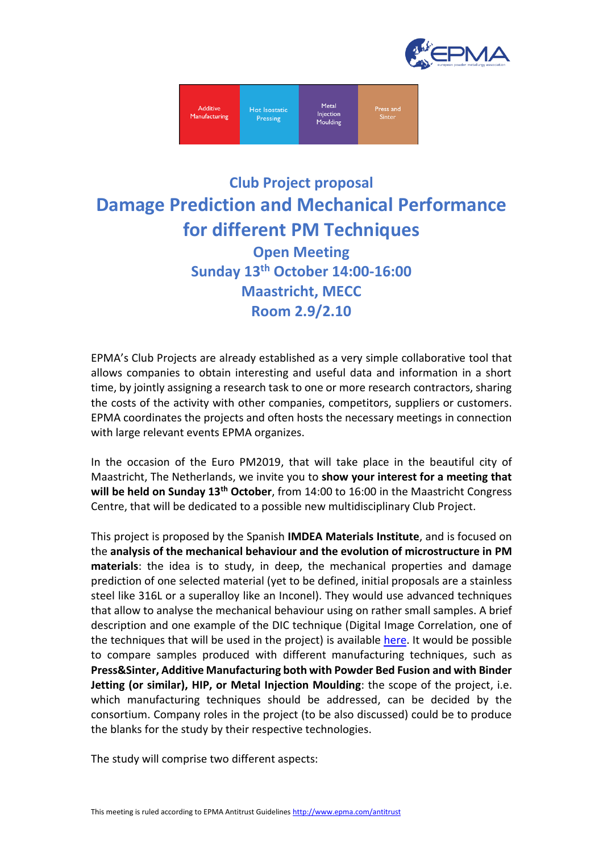



## **Club Project proposal Damage Prediction and Mechanical Performance for different PM Techniques Open Meeting Sunday 13th October 14:00-16:00 Maastricht, MECC Room 2.9/2.10**

EPMA's Club Projects are already established as a very simple collaborative tool that allows companies to obtain interesting and useful data and information in a short time, by jointly assigning a research task to one or more research contractors, sharing the costs of the activity with other companies, competitors, suppliers or customers. EPMA coordinates the projects and often hosts the necessary meetings in connection with large relevant events EPMA organizes.

In the occasion of the Euro PM2019, that will take place in the beautiful city of Maastricht, The Netherlands, we invite you to **show your interest for a meeting that will be held on Sunday 13th October**, from 14:00 to 16:00 in the Maastricht Congress Centre, that will be dedicated to a possible new multidisciplinary Club Project.

This project is proposed by the Spanish **IMDEA Materials Institute**, and is focused on the **analysis of the mechanical behaviour and the evolution of microstructure in PM materials**: the idea is to study, in deep, the mechanical properties and damage prediction of one selected material (yet to be defined, initial proposals are a stainless steel like 316L or a superalloy like an Inconel). They would use advanced techniques that allow to analyse the mechanical behaviour using on rather small samples. A brief description and one example of the DIC technique (Digital Image Correlation, one of the techniques that will be used in the project) is available [here.](https://drive.google.com/file/d/1k5JaqGKZc9oXqN7qLfghbIDsP1rM50Gl/view?usp=sharing) It would be possible to compare samples produced with different manufacturing techniques, such as **Press&Sinter, Additive Manufacturing both with Powder Bed Fusion and with Binder Jetting (or similar), HIP, or Metal Injection Moulding**: the scope of the project, i.e. which manufacturing techniques should be addressed, can be decided by the consortium. Company roles in the project (to be also discussed) could be to produce the blanks for the study by their respective technologies.

The study will comprise two different aspects: